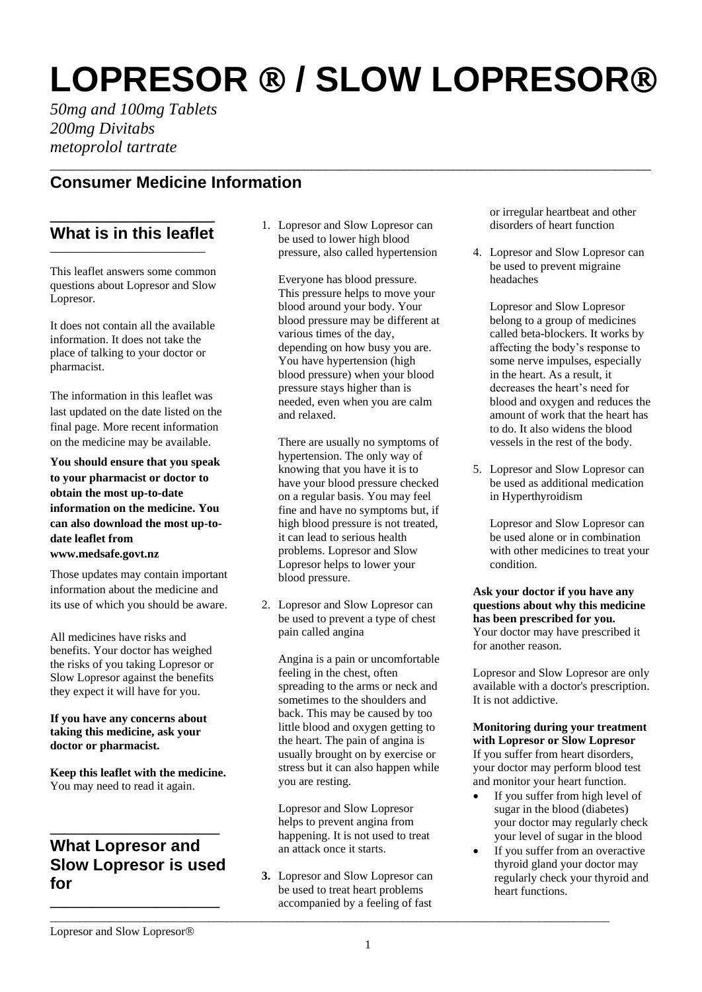# **LOPRESOR ® / SLOW LOPRESOR®**

*50mg and 100mg Tablets 200mg Divitabs metoprolol tartrate*

# **Consumer Medicine Information**

#### **\_\_\_\_\_\_\_\_\_\_\_\_\_\_\_\_\_\_\_\_ What is in this leaflet \_\_\_\_\_\_\_\_\_\_\_\_\_\_\_\_\_\_\_\_\_\_\_\_\_\_\_\_\_\_\_\_\_**

This leaflet answers some common questions about Lopresor and Slow Lopresor.

It does not contain all the available information. It does not take the place of talking to your doctor or pharmacist.

The information in this leaflet was last updated on the date listed on the final page. More recent information on the medicine may be available.

**You should ensure that you speak to your pharmacist or doctor to obtain the most up-to-date information on the medicine. You can also download the most up-todate leaflet from www.medsafe.govt.nz**

Those updates may contain important information about the medicine and its use of which you should be aware.

All medicines have risks and benefits. Your doctor has weighed the risks of you taking Lopresor or Slow Lopresor against the benefits they expect it will have for you.

#### **If you have any concerns about taking this medicine, ask your doctor or pharmacist.**

**Keep this leaflet with the medicine.** You may need to read it again.

## **\_\_\_\_\_\_\_\_\_\_\_\_\_\_\_\_\_\_\_\_\_\_\_\_ What Lopresor and Slow Lopresor is used for**

**\_\_\_\_\_\_\_\_\_\_\_\_\_\_\_\_\_\_\_\_\_\_\_\_**

1. Lopresor and Slow Lopresor can be used to lower high blood pressure, also called hypertension

\_\_\_\_\_\_\_\_\_\_\_\_\_\_\_\_\_\_\_\_\_\_\_\_\_\_\_\_\_\_\_\_\_\_\_\_\_\_\_\_\_\_\_\_\_\_\_\_\_\_\_\_\_\_\_\_\_\_\_\_\_\_\_\_\_\_\_\_\_\_\_\_\_\_\_\_\_\_\_\_\_\_\_\_\_

Everyone has blood pressure. This pressure helps to move your blood around your body. Your blood pressure may be different at various times of the day, depending on how busy you are. You have hypertension (high blood pressure) when your blood pressure stays higher than is needed, even when you are calm and relaxed.

There are usually no symptoms of hypertension. The only way of knowing that you have it is to have your blood pressure checked on a regular basis. You may feel fine and have no symptoms but, if high blood pressure is not treated, it can lead to serious health problems. Lopresor and Slow Lopresor helps to lower your blood pressure.

2. Lopresor and Slow Lopresor can be used to prevent a type of chest pain called angina

Angina is a pain or uncomfortable feeling in the chest, often spreading to the arms or neck and sometimes to the shoulders and back. This may be caused by too little blood and oxygen getting to the heart. The pain of angina is usually brought on by exercise or stress but it can also happen while you are resting.

Lopresor and Slow Lopresor helps to prevent angina from happening. It is not used to treat an attack once it starts.

**3.** Lopresor and Slow Lopresor can be used to treat heart problems accompanied by a feeling of fast

\_\_\_\_\_\_\_\_\_\_\_\_\_\_\_\_\_\_\_\_\_\_\_\_\_\_\_\_\_\_\_\_\_\_\_\_\_\_\_\_\_\_\_\_\_\_\_\_\_\_\_\_\_\_\_\_\_\_\_\_\_\_\_\_\_\_\_\_\_\_\_\_\_\_\_\_\_\_\_\_\_\_\_\_\_\_\_\_\_\_\_\_\_\_\_

or irregular heartbeat and other disorders of heart function

4. Lopresor and Slow Lopresor can be used to prevent migraine headaches

Lopresor and Slow Lopresor belong to a group of medicines called beta-blockers. It works by affecting the body's response to some nerve impulses, especially in the heart. As a result, it decreases the heart's need for blood and oxygen and reduces the amount of work that the heart has to do. It also widens the blood vessels in the rest of the body.

5. Lopresor and Slow Lopresor can be used as additional medication in Hyperthyroidism

Lopresor and Slow Lopresor can be used alone or in combination with other medicines to treat your condition.

#### **Ask your doctor if you have any questions about why this medicine has been prescribed for you.**

Your doctor may have prescribed it for another reason.

Lopresor and Slow Lopresor are only available with a doctor's prescription. It is not addictive.

**Monitoring during your treatment with Lopresor or Slow Lopresor**  If you suffer from heart disorders, your doctor may perform blood test and monitor your heart function.

- If you suffer from high level of sugar in the blood (diabetes) your doctor may regularly check your level of sugar in the blood
- If you suffer from an overactive thyroid gland your doctor may regularly check your thyroid and heart functions.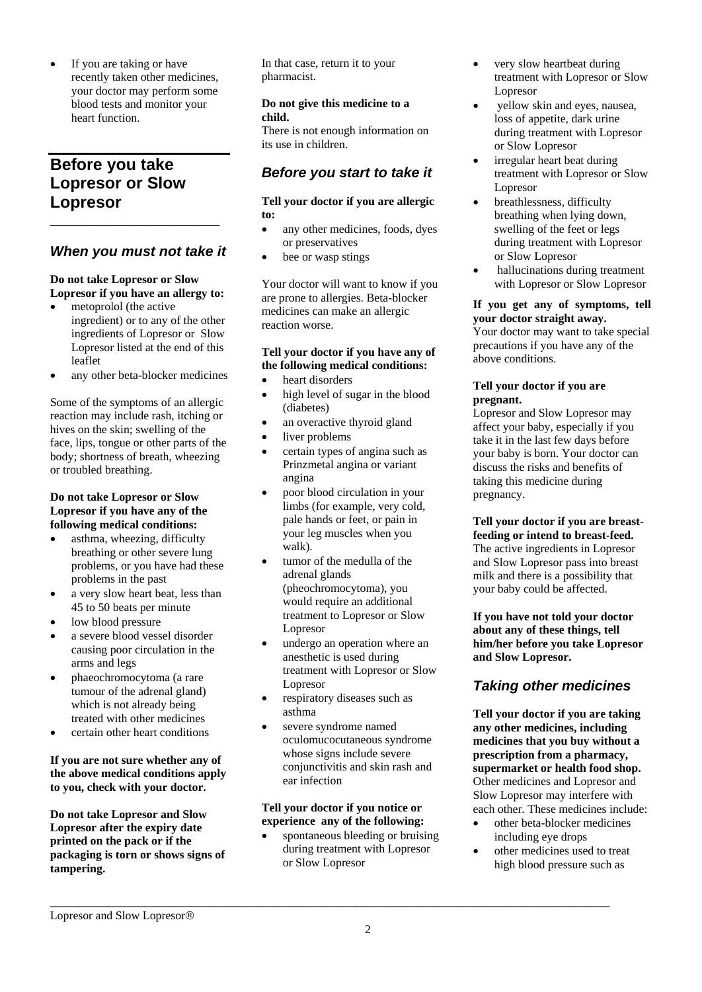If you are taking or have recently taken other medicines, your doctor may perform some blood tests and monitor your heart function.

# **Before you take Lopresor or Slow Lopresor**

## *When you must not take it*

**\_\_\_\_\_\_\_\_\_\_\_\_\_\_\_\_\_\_\_\_\_\_\_\_**

#### **Do not take Lopresor or Slow Lopresor if you have an allergy to:**

- metoprolol (the active ingredient) or to any of the other ingredients of Lopresor or Slow Lopresor listed at the end of this leaflet
- any other beta-blocker medicines

Some of the symptoms of an allergic reaction may include rash, itching or hives on the skin; swelling of the face, lips, tongue or other parts of the body; shortness of breath, wheezing or troubled breathing.

#### **Do not take Lopresor or Slow Lopresor if you have any of the following medical conditions:**

- asthma, wheezing, difficulty breathing or other severe lung problems, or you have had these problems in the past
- a very slow heart beat, less than 45 to 50 beats per minute
- low blood pressure
- a severe blood vessel disorder causing poor circulation in the arms and legs
- phaeochromocytoma (a rare tumour of the adrenal gland) which is not already being treated with other medicines
- certain other heart conditions

#### **If you are not sure whether any of the above medical conditions apply to you, check with your doctor.**

**Do not take Lopresor and Slow Lopresor after the expiry date printed on the pack or if the packaging is torn or shows signs of tampering.**

In that case, return it to your pharmacist.

#### **Do not give this medicine to a child.**

There is not enough information on its use in children.

## *Before you start to take it*

#### **Tell your doctor if you are allergic to:**

- any other medicines, foods, dyes or preservatives
- bee or wasp stings

Your doctor will want to know if you are prone to allergies. Beta-blocker medicines can make an allergic reaction worse.

#### **Tell your doctor if you have any of the following medical conditions:**

- heart disorders
- high level of sugar in the blood (diabetes)
- an overactive thyroid gland
- liver problems
- certain types of angina such as Prinzmetal angina or variant angina
- poor blood circulation in your limbs (for example, very cold, pale hands or feet, or pain in your leg muscles when you walk).
- tumor of the medulla of the adrenal glands (pheochromocytoma), you would require an additional treatment to Lopresor or Slow Lopresor
- undergo an operation where an anesthetic is used during treatment with Lopresor or Slow Lopresor
- respiratory diseases such as asthma
- severe syndrome named oculomucocutaneous syndrome whose signs include severe conjunctivitis and skin rash and ear infection

#### **Tell your doctor if you notice or experience any of the following:**

\_\_\_\_\_\_\_\_\_\_\_\_\_\_\_\_\_\_\_\_\_\_\_\_\_\_\_\_\_\_\_\_\_\_\_\_\_\_\_\_\_\_\_\_\_\_\_\_\_\_\_\_\_\_\_\_\_\_\_\_\_\_\_\_\_\_\_\_\_\_\_\_\_\_\_\_\_\_\_\_\_\_\_\_\_\_\_\_\_\_\_\_\_\_\_

 spontaneous bleeding or bruising during treatment with Lopresor or Slow Lopresor

- very slow heartbeat during treatment with Lopresor or Slow Lopresor
- yellow skin and eyes, nausea, loss of appetite, dark urine during treatment with Lopresor or Slow Lopresor
- irregular heart beat during treatment with Lopresor or Slow Lopresor
- breathlessness, difficulty breathing when lying down, swelling of the feet or legs during treatment with Lopresor or Slow Lopresor
- hallucinations during treatment with Lopresor or Slow Lopresor

### **If you get any of symptoms, tell your doctor straight away.**

Your doctor may want to take special precautions if you have any of the above conditions.

#### **Tell your doctor if you are pregnant.**

Lopresor and Slow Lopresor may affect your baby, especially if you take it in the last few days before your baby is born. Your doctor can discuss the risks and benefits of taking this medicine during pregnancy.

**Tell your doctor if you are breastfeeding or intend to breast-feed.**  The active ingredients in Lopresor and Slow Lopresor pass into breast milk and there is a possibility that your baby could be affected.

**If you have not told your doctor about any of these things, tell him/her before you take Lopresor and Slow Lopresor.** 

# *Taking other medicines*

**Tell your doctor if you are taking any other medicines, including medicines that you buy without a prescription from a pharmacy, supermarket or health food shop.**  Other medicines and Lopresor and Slow Lopresor may interfere with each other. These medicines include:

- other beta-blocker medicines including eye drops
- other medicines used to treat high blood pressure such as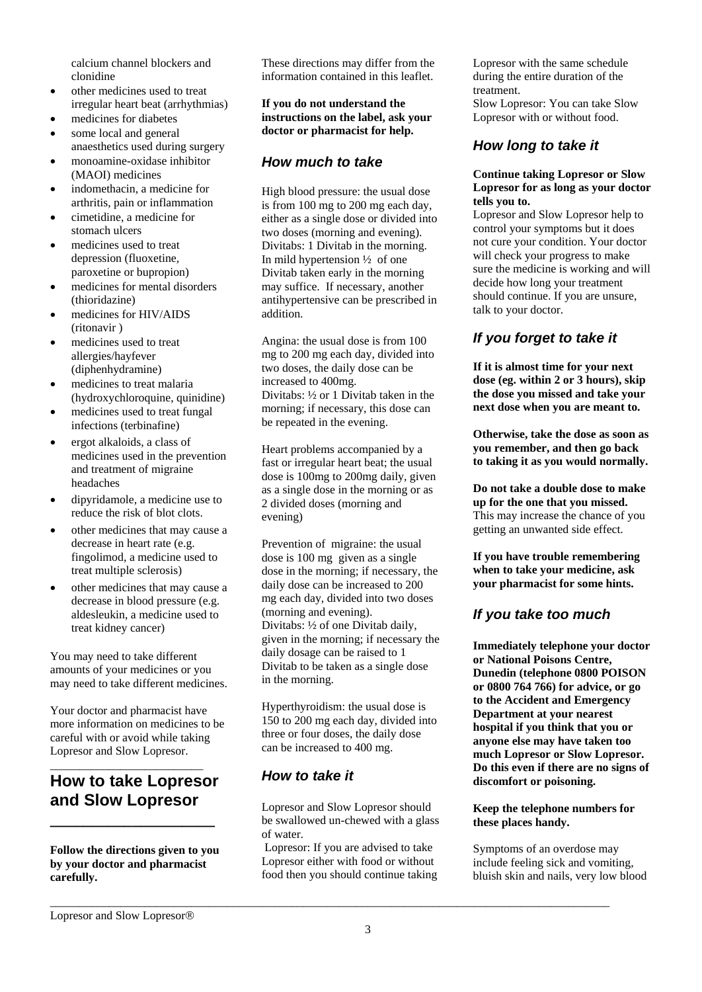calcium channel blockers and clonidine

- $\bullet$  other medicines used to treat irregular heart beat (arrhythmias)
- medicines for diabetes
- some local and general anaesthetics used during surgery
- monoamine-oxidase inhibitor (MAOI) medicines
- indomethacin, a medicine for arthritis, pain or inflammation
- cimetidine, a medicine for stomach ulcers
- medicines used to treat depression (fluoxetine, paroxetine or bupropion)
- medicines for mental disorders (thioridazine)
- medicines for HIV/AIDS (ritonavir )
- medicines used to treat allergies/hayfever (diphenhydramine)
- medicines to treat malaria (hydroxychloroquine, quinidine)
- medicines used to treat fungal infections (terbinafine)
- ergot alkaloids, a class of medicines used in the prevention and treatment of migraine headaches
- dipyridamole, a medicine use to reduce the risk of blot clots.
- other medicines that may cause a decrease in heart rate (e.g. fingolimod, a medicine used to treat multiple sclerosis)
- other medicines that may cause a decrease in blood pressure (e.g. aldesleukin, a medicine used to treat kidney cancer)

You may need to take different amounts of your medicines or you may need to take different medicines.

Your doctor and pharmacist have more information on medicines to be careful with or avoid while taking Lopresor and Slow Lopresor.

# **How to take Lopresor and Slow Lopresor**

**\_\_\_\_\_\_\_\_\_\_\_\_\_\_\_\_\_\_\_\_**

\_\_\_\_\_\_\_\_\_\_\_\_\_\_\_\_\_\_\_\_\_\_\_\_\_\_

#### **Follow the directions given to you by your doctor and pharmacist carefully.**

These directions may differ from the information contained in this leaflet.

**If you do not understand the instructions on the label, ask your doctor or pharmacist for help.**

## *How much to take*

High blood pressure: the usual dose is from 100 mg to 200 mg each day, either as a single dose or divided into two doses (morning and evening). Divitabs: 1 Divitab in the morning. In mild hypertension ½ of one Divitab taken early in the morning may suffice. If necessary, another antihypertensive can be prescribed in addition.

Angina: the usual dose is from 100 mg to 200 mg each day, divided into two doses, the daily dose can be increased to 400mg. Divitabs: ½ or 1 Divitab taken in the morning; if necessary, this dose can be repeated in the evening.

Heart problems accompanied by a fast or irregular heart beat; the usual dose is 100mg to 200mg daily, given as a single dose in the morning or as 2 divided doses (morning and evening)

Prevention of migraine: the usual dose is 100 mg given as a single dose in the morning; if necessary, the daily dose can be increased to 200 mg each day, divided into two doses (morning and evening). Divitabs: ½ of one Divitab daily, given in the morning; if necessary the daily dosage can be raised to 1 Divitab to be taken as a single dose in the morning.

Hyperthyroidism: the usual dose is 150 to 200 mg each day, divided into three or four doses, the daily dose can be increased to 400 mg.

## *How to take it*

Lopresor and Slow Lopresor should be swallowed un-chewed with a glass of water.

Lopresor: If you are advised to take Lopresor either with food or without food then you should continue taking

\_\_\_\_\_\_\_\_\_\_\_\_\_\_\_\_\_\_\_\_\_\_\_\_\_\_\_\_\_\_\_\_\_\_\_\_\_\_\_\_\_\_\_\_\_\_\_\_\_\_\_\_\_\_\_\_\_\_\_\_\_\_\_\_\_\_\_\_\_\_\_\_\_\_\_\_\_\_\_\_\_\_\_\_\_\_\_\_\_\_\_\_\_\_\_

Lopresor with the same schedule during the entire duration of the treatment. Slow Lopresor: You can take Slow Lopresor with or without food.

## *How long to take it*

#### **Continue taking Lopresor or Slow Lopresor for as long as your doctor tells you to.**

Lopresor and Slow Lopresor help to control your symptoms but it does not cure your condition. Your doctor will check your progress to make sure the medicine is working and will decide how long your treatment should continue. If you are unsure, talk to your doctor.

# *If you forget to take it*

**If it is almost time for your next dose (eg. within 2 or 3 hours), skip the dose you missed and take your next dose when you are meant to.**

**Otherwise, take the dose as soon as you remember, and then go back to taking it as you would normally.**

**Do not take a double dose to make up for the one that you missed.** This may increase the chance of you getting an unwanted side effect.

**If you have trouble remembering when to take your medicine, ask your pharmacist for some hints.**

# *If you take too much*

**Immediately telephone your doctor or National Poisons Centre, Dunedin (telephone 0800 POISON or 0800 764 766) for advice, or go to the Accident and Emergency Department at your nearest hospital if you think that you or anyone else may have taken too much Lopresor or Slow Lopresor. Do this even if there are no signs of discomfort or poisoning.**

#### **Keep the telephone numbers for these places handy.**

Symptoms of an overdose may include feeling sick and vomiting, bluish skin and nails, very low blood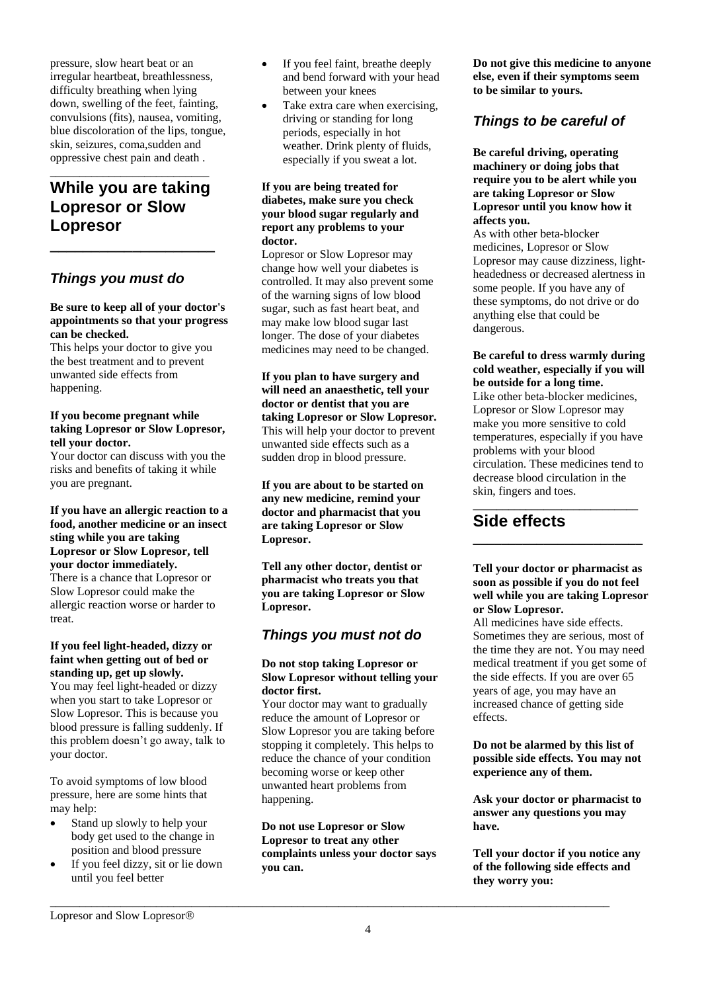pressure, slow heart beat or an irregular heartbeat, breathlessness, difficulty breathing when lying down, swelling of the feet, fainting, convulsions (fits), nausea, vomiting, blue discoloration of the lips, tongue, skin, seizures, coma,sudden and oppressive chest pain and death .

# **While you are taking Lopresor or Slow Lopresor**

**\_\_\_\_\_\_\_\_\_\_\_\_\_\_\_\_\_\_\_\_**

\_\_\_\_\_\_\_\_\_\_\_\_\_\_\_\_\_\_\_\_\_\_\_\_\_\_\_

## *Things you must do*

#### **Be sure to keep all of your doctor's appointments so that your progress can be checked.**

This helps your doctor to give you the best treatment and to prevent unwanted side effects from happening.

#### **If you become pregnant while taking Lopresor or Slow Lopresor, tell your doctor.**

Your doctor can discuss with you the risks and benefits of taking it while you are pregnant.

**If you have an allergic reaction to a food, another medicine or an insect sting while you are taking Lopresor or Slow Lopresor, tell your doctor immediately.** There is a chance that Lopresor or Slow Lopresor could make the allergic reaction worse or harder to treat.

#### **If you feel light-headed, dizzy or faint when getting out of bed or standing up, get up slowly.**

You may feel light-headed or dizzy when you start to take Lopresor or Slow Lopresor. This is because you blood pressure is falling suddenly. If this problem doesn't go away, talk to your doctor.

To avoid symptoms of low blood pressure, here are some hints that may help:

- Stand up slowly to help your body get used to the change in position and blood pressure
- If you feel dizzy, sit or lie down until you feel better
- If you feel faint, breathe deeply and bend forward with your head between your knees
- Take extra care when exercising, driving or standing for long periods, especially in hot weather. Drink plenty of fluids, especially if you sweat a lot.

#### **If you are being treated for diabetes, make sure you check your blood sugar regularly and report any problems to your doctor.**

Lopresor or Slow Lopresor may change how well your diabetes is controlled. It may also prevent some of the warning signs of low blood sugar, such as fast heart beat, and may make low blood sugar last longer. The dose of your diabetes medicines may need to be changed.

**If you plan to have surgery and will need an anaesthetic, tell your doctor or dentist that you are taking Lopresor or Slow Lopresor.** This will help your doctor to prevent unwanted side effects such as a sudden drop in blood pressure.

**If you are about to be started on any new medicine, remind your doctor and pharmacist that you are taking Lopresor or Slow Lopresor.**

**Tell any other doctor, dentist or pharmacist who treats you that you are taking Lopresor or Slow Lopresor.**

## *Things you must not do*

#### **Do not stop taking Lopresor or Slow Lopresor without telling your doctor first.**

Your doctor may want to gradually reduce the amount of Lopresor or Slow Lopresor you are taking before stopping it completely. This helps to reduce the chance of your condition becoming worse or keep other unwanted heart problems from happening.

**Do not use Lopresor or Slow Lopresor to treat any other complaints unless your doctor says you can.**

\_\_\_\_\_\_\_\_\_\_\_\_\_\_\_\_\_\_\_\_\_\_\_\_\_\_\_\_\_\_\_\_\_\_\_\_\_\_\_\_\_\_\_\_\_\_\_\_\_\_\_\_\_\_\_\_\_\_\_\_\_\_\_\_\_\_\_\_\_\_\_\_\_\_\_\_\_\_\_\_\_\_\_\_\_\_\_\_\_\_\_\_\_\_\_

**Do not give this medicine to anyone else, even if their symptoms seem to be similar to yours.**

## *Things to be careful of*

**Be careful driving, operating machinery or doing jobs that require you to be alert while you are taking Lopresor or Slow Lopresor until you know how it affects you.**

As with other beta-blocker medicines, Lopresor or Slow Lopresor may cause dizziness, lightheadedness or decreased alertness in some people. If you have any of these symptoms, do not drive or do anything else that could be dangerous.

#### **Be careful to dress warmly during cold weather, especially if you will be outside for a long time.**

Like other beta-blocker medicines, Lopresor or Slow Lopresor may make you more sensitive to cold temperatures, especially if you have problems with your blood circulation. These medicines tend to decrease blood circulation in the skin, fingers and toes.

#### \_\_\_\_\_\_\_\_\_\_\_\_\_\_\_\_\_\_\_\_\_\_\_\_\_\_\_\_ **Side effects**

#### **Tell your doctor or pharmacist as soon as possible if you do not feel well while you are taking Lopresor or Slow Lopresor.**

**\_\_\_\_\_\_\_\_\_\_\_\_\_\_\_\_\_\_\_\_\_\_\_\_**

All medicines have side effects. Sometimes they are serious, most of the time they are not. You may need medical treatment if you get some of the side effects. If you are over 65 years of age, you may have an increased chance of getting side effects.

**Do not be alarmed by this list of possible side effects. You may not experience any of them.**

**Ask your doctor or pharmacist to answer any questions you may have.**

**Tell your doctor if you notice any of the following side effects and they worry you:**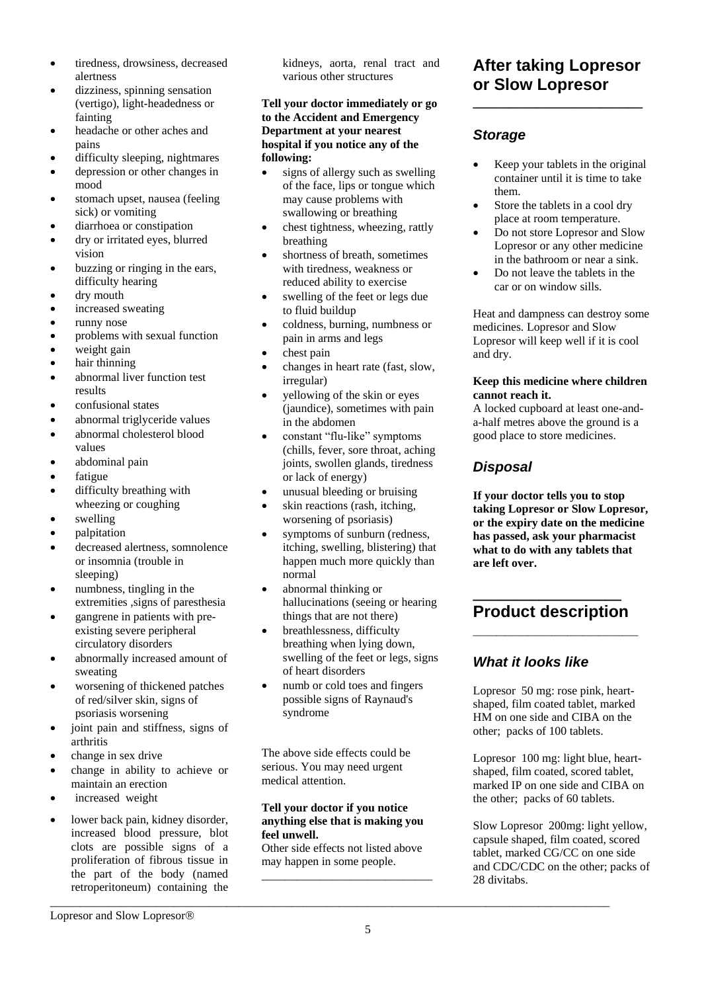- tiredness, drowsiness, decreased alertness
- dizziness, spinning sensation (vertigo), light-headedness or fainting
- headache or other aches and pains
- difficulty sleeping, nightmares
- depression or other changes in mood
- stomach upset, nausea (feeling) sick) or vomiting
- diarrhoea or constipation
- dry or irritated eyes, blurred vision
- buzzing or ringing in the ears, difficulty hearing
- dry mouth
- increased sweating
- runny nose
- problems with sexual function
- weight gain
- hair thinning
- abnormal liver function test results
- confusional states
- abnormal triglyceride values
- abnormal cholesterol blood values
- abdominal pain
- fatigue
- difficulty breathing with wheezing or coughing
- swelling
- palpitation
- decreased alertness, somnolence or insomnia (trouble in sleeping)
- numbness, tingling in the extremities ,signs of paresthesia
- gangrene in patients with preexisting severe peripheral circulatory disorders
- abnormally increased amount of sweating
- worsening of thickened patches of red/silver skin, signs of psoriasis worsening
- joint pain and stiffness, signs of arthritis
- change in sex drive
- change in ability to achieve or maintain an erection
- increased weight
- lower back pain, kidney disorder, increased blood pressure, blot clots are possible signs of a proliferation of fibrous tissue in the part of the body (named retroperitoneum) containing the

kidneys, aorta, renal tract and various other structures

**Tell your doctor immediately or go to the Accident and Emergency Department at your nearest hospital if you notice any of the following:**

- signs of allergy such as swelling of the face, lips or tongue which may cause problems with swallowing or breathing
- chest tightness, wheezing, rattly breathing
- shortness of breath, sometimes with tiredness, weakness or reduced ability to exercise
- swelling of the feet or legs due to fluid buildup
- coldness, burning, numbness or pain in arms and legs
- chest pain
- changes in heart rate (fast, slow, irregular)
- yellowing of the skin or eyes (jaundice), sometimes with pain in the abdomen
- constant "flu-like" symptoms (chills, fever, sore throat, aching joints, swollen glands, tiredness or lack of energy)
- unusual bleeding or bruising
- skin reactions (rash, itching, worsening of psoriasis)
- symptoms of sunburn (redness, itching, swelling, blistering) that happen much more quickly than normal
- abnormal thinking or hallucinations (seeing or hearing things that are not there)
- breathlessness, difficulty breathing when lying down, swelling of the feet or legs, signs of heart disorders
- numb or cold toes and fingers possible signs of Raynaud's syndrome

The above side effects could be serious. You may need urgent medical attention.

#### **Tell your doctor if you notice anything else that is making you feel unwell.**

Other side effects not listed above may happen in some people. \_\_\_\_\_\_\_\_\_\_\_\_\_\_\_\_\_\_\_\_\_\_\_\_\_\_\_\_\_

\_\_\_\_\_\_\_\_\_\_\_\_\_\_\_\_\_\_\_\_\_\_\_\_\_\_\_\_\_\_\_\_\_\_\_\_\_\_\_\_\_\_\_\_\_\_\_\_\_\_\_\_\_\_\_\_\_\_\_\_\_\_\_\_\_\_\_\_\_\_\_\_\_\_\_\_\_\_\_\_\_\_\_\_\_\_\_\_\_\_\_\_\_\_\_

# **After taking Lopresor or Slow Lopresor**

**\_\_\_\_\_\_\_\_\_\_\_\_\_\_\_\_\_\_\_\_\_\_\_\_**

## *Storage*

- Keep your tablets in the original container until it is time to take them.
- Store the tablets in a cool dry place at room temperature.
- Do not store Lopresor and Slow Lopresor or any other medicine in the bathroom or near a sink.
- Do not leave the tablets in the car or on window sills.

Heat and dampness can destroy some medicines. Lopresor and Slow Lopresor will keep well if it is cool and dry.

#### **Keep this medicine where children cannot reach it.**

A locked cupboard at least one-anda-half metres above the ground is a good place to store medicines.

## *Disposal*

**If your doctor tells you to stop taking Lopresor or Slow Lopresor, or the expiry date on the medicine has passed, ask your pharmacist what to do with any tablets that are left over.**

## **\_\_\_\_\_\_\_\_\_\_\_\_\_\_\_\_\_\_ Product description \_\_\_\_\_\_\_\_\_\_\_\_\_\_\_\_\_\_\_\_\_**

## *What it looks like*

Lopresor 50 mg: rose pink, heartshaped, film coated tablet, marked HM on one side and CIBA on the other; packs of 100 tablets.

Lopresor 100 mg: light blue, heartshaped, film coated, scored tablet, marked IP on one side and CIBA on the other; packs of 60 tablets.

Slow Lopresor 200mg: light yellow, capsule shaped, film coated, scored tablet, marked CG/CC on one side and CDC/CDC on the other; packs of 28 divitabs.